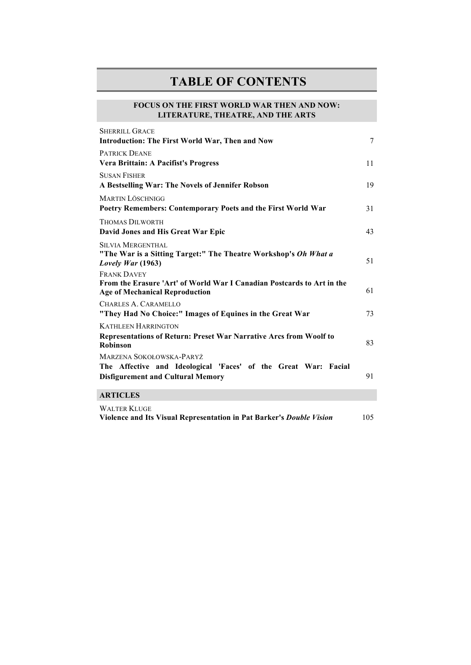## **TABLE OF CONTENTS**

## **FOCUS ON THE FIRST WORLD WAR THEN AND NOW: LITERATURE, THEATRE, AND THE ARTS**

| SHERRILL GRACE                                                                                                                         |        |
|----------------------------------------------------------------------------------------------------------------------------------------|--------|
| Introduction: The First World War, Then and Now                                                                                        | $\tau$ |
| <b>PATRICK DEANE</b>                                                                                                                   |        |
| Vera Brittain: A Pacifist's Progress                                                                                                   | 11     |
| <b>SUSAN FISHER</b>                                                                                                                    |        |
| A Bestselling War: The Novels of Jennifer Robson                                                                                       | 19     |
| <b>MARTIN LÖSCHNIGG</b>                                                                                                                |        |
| Poetry Remembers: Contemporary Poets and the First World War                                                                           | 31     |
| <b>THOMAS DILWORTH</b>                                                                                                                 |        |
| David Jones and His Great War Epic                                                                                                     | 43     |
| <b>SILVIA MERGENTHAL</b><br>"The War is a Sitting Target:" The Theatre Workshop's Oh What a<br>Lovely War $(1963)$                     | 51     |
| <b>FRANK DAVEY</b>                                                                                                                     |        |
| From the Erasure 'Art' of World War I Canadian Postcards to Art in the<br><b>Age of Mechanical Reproduction</b>                        | 61     |
| CHARLES A. CARAMELLO<br>"They Had No Choice:" Images of Equines in the Great War                                                       | 73     |
| <b>KATHLEEN HARRINGTON</b>                                                                                                             |        |
| <b>Representations of Return: Preset War Narrative Arcs from Woolf to</b><br><b>Robinson</b>                                           | 83     |
| MARZENA SOKOŁOWSKA-PARYŻ<br>The Affective and Ideological 'Faces' of the Great War: Facial<br><b>Disfigurement and Cultural Memory</b> | 91     |
|                                                                                                                                        |        |
| <b>ARTICLES</b>                                                                                                                        |        |
| <b>WALTER KLUGE</b>                                                                                                                    |        |

**Violence and Its Visual Representation in Pat Barker's** *Double Vision* 105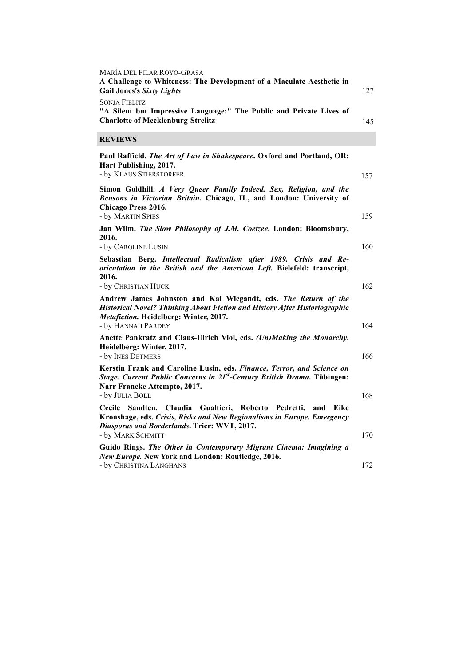| MARÍA DEL PILAR ROYO-GRASA<br>A Challenge to Whiteness: The Development of a Maculate Aesthetic in<br><b>Gail Jones's Sixty Lights</b>                                                                              | 127 |
|---------------------------------------------------------------------------------------------------------------------------------------------------------------------------------------------------------------------|-----|
| <b>SONJA FIELITZ</b><br>"A Silent but Impressive Language:" The Public and Private Lives of<br><b>Charlotte of Mecklenburg-Strelitz</b>                                                                             | 145 |
| <b>REVIEWS</b>                                                                                                                                                                                                      |     |
| Paul Raffield. The Art of Law in Shakespeare. Oxford and Portland, OR:<br>Hart Publishing, 2017.<br>- by KLAUS STIERSTORFER                                                                                         | 157 |
| Simon Goldhill. A Very Queer Family Indeed. Sex, Religion, and the<br>Bensons in Victorian Britain. Chicago, IL, and London: University of<br>Chicago Press 2016.                                                   |     |
| - by MARTIN SPIES                                                                                                                                                                                                   | 159 |
| Jan Wilm. The Slow Philosophy of J.M. Coetzee. London: Bloomsbury,<br>2016.<br>- by CAROLINE LUSIN                                                                                                                  | 160 |
| Sebastian Berg. Intellectual Radicalism after 1989. Crisis and Re-<br>orientation in the British and the American Left. Bielefeld: transcript,<br>2016.                                                             |     |
| - by CHRISTIAN HUCK                                                                                                                                                                                                 | 162 |
| Andrew James Johnston and Kai Wiegandt, eds. The Return of the<br><b>Historical Novel? Thinking About Fiction and History After Historiographic</b><br>Metafiction. Heidelberg: Winter, 2017.<br>- by HANNAH PARDEY | 164 |
| Anette Pankratz and Claus-Ulrich Viol, eds. (Un)Making the Monarchy.<br>Heidelberg: Winter. 2017.<br>- by INES DETMERS                                                                                              | 166 |
| Kerstin Frank and Caroline Lusin, eds. Finance, Terror, and Science on<br>Stage. Current Public Concerns in 21 <sup>st</sup> -Century British Drama. Tübingen:<br>Narr Francke Attempto, 2017.                      |     |
| - by JULIA BOLL                                                                                                                                                                                                     | 168 |
| Cecile Sandten, Claudia Gualtieri, Roberto<br>Pedretti,<br>and Eike<br>Kronshage, eds. Crisis, Risks and New Regionalisms in Europe. Emergency<br>Diasporas and Borderlands. Trier: WVT, 2017.                      |     |
| - by MARK SCHMITT                                                                                                                                                                                                   | 170 |
| Guido Rings. The Other in Contemporary Migrant Cinema: Imagining a<br>New Europe. New York and London: Routledge, 2016.                                                                                             |     |
| - by Christina Langhans                                                                                                                                                                                             | 172 |